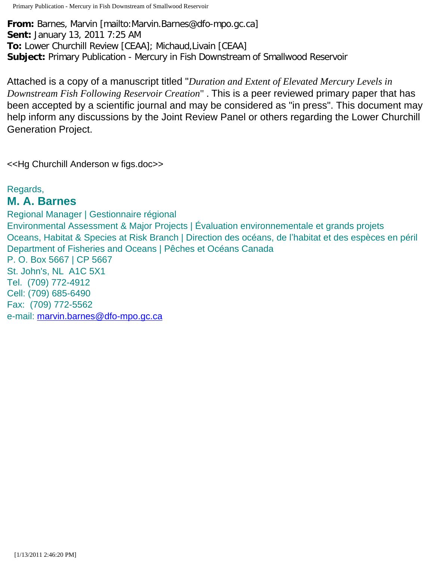Primary Publication - Mercury in Fish Downstream of Smallwood Reservoir

**From:** Barnes, Marvin [mailto:Marvin.Barnes@dfo-mpo.gc.ca] **Sent:** January 13, 2011 7:25 AM **To:** Lower Churchill Review [CEAA]; Michaud,Livain [CEAA] **Subject:** Primary Publication - Mercury in Fish Downstream of Smallwood Reservoir

Attached is a copy of a manuscript titled "*Duration and Extent of Elevated Mercury Levels in Downstream Fish Following Reservoir Creation*" . This is a peer reviewed primary paper that has been accepted by a scientific journal and may be considered as "in press". This document may help inform any discussions by the Joint Review Panel or others regarding the Lower Churchill Generation Project.

<<Hg Churchill Anderson w figs.doc>>

Regards,

# **M. A. Barnes**

Regional Manager | Gestionnaire régional Environmental Assessment & Major Projects | Évaluation environnementale et grands projets Oceans, Habitat & Species at Risk Branch | Direction des océans, de l'habitat et des espèces en péril Department of Fisheries and Oceans | Pêches et Océans Canada P. O. Box 5667 | CP 5667 St. John's, NL A1C 5X1 Tel. (709) 772-4912 Cell: (709) 685-6490 Fax: (709) 772-5562 e-mail: [marvin.barnes@dfo-mpo.gc.ca](mailto:barnesm@dfo-mpo.gc.ca)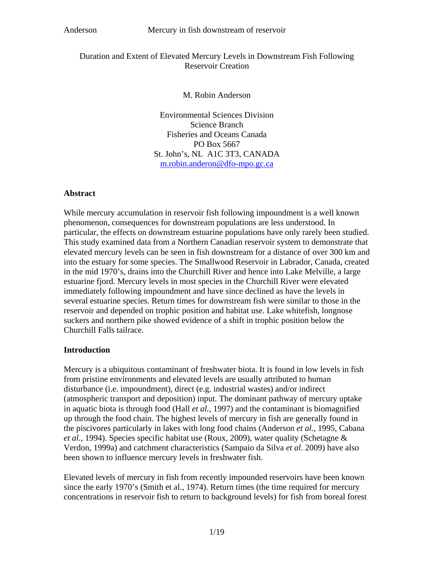## Duration and Extent of Elevated Mercury Levels in Downstream Fish Following Reservoir Creation

M. Robin Anderson

Environmental Sciences Division Science Branch Fisheries and Oceans Canada PO Box 5667 St. John's, NL A1C 3T3, CANADA [m.robin.anderon@dfo-mpo.gc.ca](mailto:m.robin.anderon@dfo-mpo.gc.ca)

## **Abstract**

While mercury accumulation in reservoir fish following impoundment is a well known phenomenon, consequences for downstream populations are less understood. In particular, the effects on downstream estuarine populations have only rarely been studied. This study examined data from a Northern Canadian reservoir system to demonstrate that elevated mercury levels can be seen in fish downstream for a distance of over 300 km and into the estuary for some species. The Smallwood Reservoir in Labrador, Canada, created in the mid 1970's, drains into the Churchill River and hence into Lake Melville, a large estuarine fjord. Mercury levels in most species in the Churchill River were elevated immediately following impoundment and have since declined as have the levels in several estuarine species. Return times for downstream fish were similar to those in the reservoir and depended on trophic position and habitat use. Lake whitefish, longnose suckers and northern pike showed evidence of a shift in trophic position below the Churchill Falls tailrace.

## **Introduction**

Mercury is a ubiquitous contaminant of freshwater biota. It is found in low levels in fish from pristine environments and elevated levels are usually attributed to human disturbance (i.e. impoundment), direct (e.g. industrial wastes) and/or indirect (atmospheric transport and deposition) input. The dominant pathway of mercury uptake in aquatic biota is through food (Hall *et al.*, 1997) and the contaminant is biomagnified up through the food chain. The highest levels of mercury in fish are generally found in the piscivores particularly in lakes with long food chains (Anderson *et al.,* 1995, Cabana *et al.,* 1994). Species specific habitat use (Roux, 2009), water quality (Schetagne & Verdon, 1999a) and catchment characteristics (Sampaio da Silva *et al*. 2009) have also been shown to influence mercury levels in freshwater fish.

Elevated levels of mercury in fish from recently impounded reservoirs have been known since the early 1970's (Smith et al., 1974). Return times (the time required for mercury concentrations in reservoir fish to return to background levels) for fish from boreal forest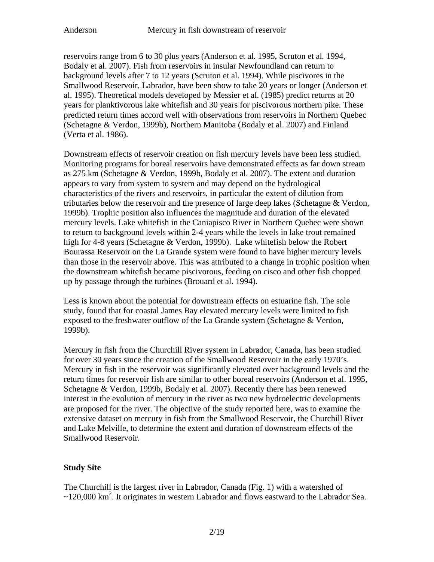reservoirs range from 6 to 30 plus years (Anderson et al*.* 1995, Scruton et al*.* 1994, Bodaly et al. 2007). Fish from reservoirs in insular Newfoundland can return to background levels after 7 to 12 years (Scruton et al. 1994). While piscivores in the Smallwood Reservoir, Labrador, have been show to take 20 years or longer (Anderson et al. 1995). Theoretical models developed by Messier et al. (1985) predict returns at 20 years for planktivorous lake whitefish and 30 years for piscivorous northern pike. These predicted return times accord well with observations from reservoirs in Northern Quebec (Schetagne & Verdon, 1999b), Northern Manitoba (Bodaly et al. 2007) and Finland (Verta et al. 1986).

Downstream effects of reservoir creation on fish mercury levels have been less studied. Monitoring programs for boreal reservoirs have demonstrated effects as far down stream as 275 km (Schetagne & Verdon, 1999b, Bodaly et al. 2007). The extent and duration appears to vary from system to system and may depend on the hydrological characteristics of the rivers and reservoirs, in particular the extent of dilution from tributaries below the reservoir and the presence of large deep lakes (Schetagne & Verdon, 1999b). Trophic position also influences the magnitude and duration of the elevated mercury levels. Lake whitefish in the Caniapisco River in Northern Quebec were shown to return to background levels within 2-4 years while the levels in lake trout remained high for 4-8 years (Schetagne & Verdon, 1999b). Lake whitefish below the Robert Bourassa Reservoir on the La Grande system were found to have higher mercury levels than those in the reservoir above. This was attributed to a change in trophic position when the downstream whitefish became piscivorous, feeding on cisco and other fish chopped up by passage through the turbines (Brouard et al. 1994).

Less is known about the potential for downstream effects on estuarine fish. The sole study, found that for coastal James Bay elevated mercury levels were limited to fish exposed to the freshwater outflow of the La Grande system (Schetagne & Verdon, 1999b).

Mercury in fish from the Churchill River system in Labrador, Canada, has been studied for over 30 years since the creation of the Smallwood Reservoir in the early 1970's. Mercury in fish in the reservoir was significantly elevated over background levels and the return times for reservoir fish are similar to other boreal reservoirs (Anderson et al. 1995, Schetagne & Verdon, 1999b, Bodaly et al. 2007). Recently there has been renewed interest in the evolution of mercury in the river as two new hydroelectric developments are proposed for the river. The objective of the study reported here, was to examine the extensive dataset on mercury in fish from the Smallwood Reservoir, the Churchill River and Lake Melville, to determine the extent and duration of downstream effects of the Smallwood Reservoir.

## **Study Site**

The Churchill is the largest river in Labrador, Canada (Fig. 1) with a watershed of  $\sim$ 120,000 km<sup>2</sup>. It originates in western Labrador and flows eastward to the Labrador Sea.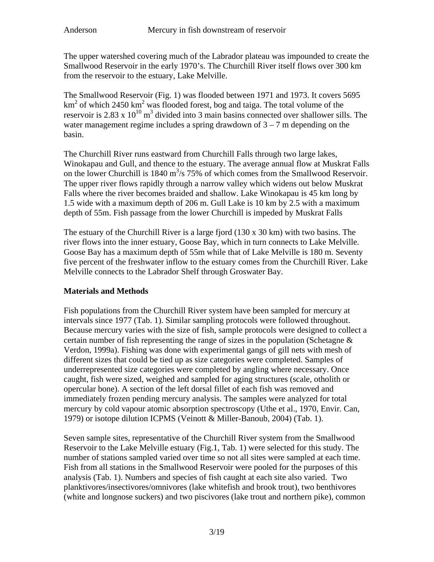The upper watershed covering much of the Labrador plateau was impounded to create the Smallwood Reservoir in the early 1970's. The Churchill River itself flows over 300 km from the reservoir to the estuary, Lake Melville.

The Smallwood Reservoir (Fig. 1) was flooded between 1971 and 1973. It covers 5695  $km<sup>2</sup>$  of which 2450 km<sup>2</sup> was flooded forest, bog and taiga. The total volume of the reservoir is 2.83 x  $10^{10}$  m<sup>3</sup> divided into 3 main basins connected over shallower sills. The water management regime includes a spring drawdown of  $3 - 7$  m depending on the basin.

The Churchill River runs eastward from Churchill Falls through two large lakes, Winokapau and Gull, and thence to the estuary. The average annual flow at Muskrat Falls on the lower Churchill is 1840  $m^3/s$  75% of which comes from the Smallwood Reservoir. The upper river flows rapidly through a narrow valley which widens out below Muskrat Falls where the river becomes braided and shallow. Lake Winokapau is 45 km long by 1.5 wide with a maximum depth of 206 m. Gull Lake is 10 km by 2.5 with a maximum depth of 55m. Fish passage from the lower Churchill is impeded by Muskrat Falls

The estuary of the Churchill River is a large fjord  $(130 \times 30 \text{ km})$  with two basins. The river flows into the inner estuary, Goose Bay, which in turn connects to Lake Melville. Goose Bay has a maximum depth of 55m while that of Lake Melville is 180 m. Seventy five percent of the freshwater inflow to the estuary comes from the Churchill River. Lake Melville connects to the Labrador Shelf through Groswater Bay.

## **Materials and Methods**

Fish populations from the Churchill River system have been sampled for mercury at intervals since 1977 (Tab. 1). Similar sampling protocols were followed throughout. Because mercury varies with the size of fish, sample protocols were designed to collect a certain number of fish representing the range of sizes in the population (Schetagne  $\&$ Verdon, 1999a). Fishing was done with experimental gangs of gill nets with mesh of different sizes that could be tied up as size categories were completed. Samples of underrepresented size categories were completed by angling where necessary. Once caught, fish were sized, weighed and sampled for aging structures (scale, otholith or opercular bone). A section of the left dorsal fillet of each fish was removed and immediately frozen pending mercury analysis. The samples were analyzed for total mercury by cold vapour atomic absorption spectroscopy (Uthe et al., 1970, Envir. Can, 1979) or isotope dilution ICPMS (Veinott & Miller-Banoub, 2004) (Tab. 1).

Seven sample sites, representative of the Churchill River system from the Smallwood Reservoir to the Lake Melville estuary (Fig.1, Tab. 1) were selected for this study. The number of stations sampled varied over time so not all sites were sampled at each time. Fish from all stations in the Smallwood Reservoir were pooled for the purposes of this analysis (Tab. 1). Numbers and species of fish caught at each site also varied. Two planktivores/insectivores/omnivores (lake whitefish and brook trout), two benthivores (white and longnose suckers) and two piscivores (lake trout and northern pike), common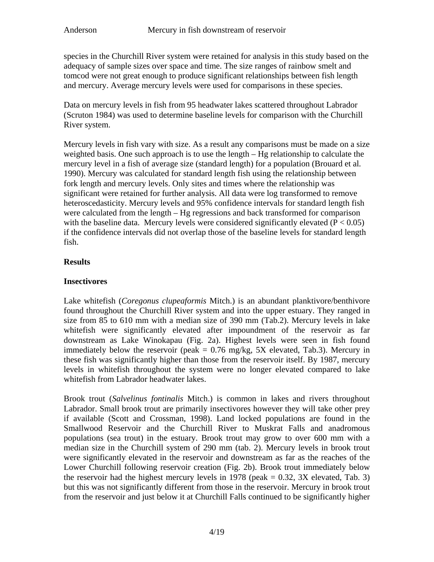species in the Churchill River system were retained for analysis in this study based on the adequacy of sample sizes over space and time. The size ranges of rainbow smelt and tomcod were not great enough to produce significant relationships between fish length and mercury. Average mercury levels were used for comparisons in these species.

Data on mercury levels in fish from 95 headwater lakes scattered throughout Labrador (Scruton 1984) was used to determine baseline levels for comparison with the Churchill River system.

Mercury levels in fish vary with size. As a result any comparisons must be made on a size weighted basis. One such approach is to use the length – Hg relationship to calculate the mercury level in a fish of average size (standard length) for a population (Brouard et al*.* 1990). Mercury was calculated for standard length fish using the relationship between fork length and mercury levels. Only sites and times where the relationship was significant were retained for further analysis. All data were log transformed to remove heteroscedasticity. Mercury levels and 95% confidence intervals for standard length fish were calculated from the length – Hg regressions and back transformed for comparison with the baseline data. Mercury levels were considered significantly elevated  $(P < 0.05)$ if the confidence intervals did not overlap those of the baseline levels for standard length fish.

## **Results**

## **Insectivores**

Lake whitefish (*Coregonus clupeaformis* Mitch.) is an abundant planktivore/benthivore found throughout the Churchill River system and into the upper estuary. They ranged in size from 85 to 610 mm with a median size of 390 mm (Tab.2). Mercury levels in lake whitefish were significantly elevated after impoundment of the reservoir as far downstream as Lake Winokapau (Fig. 2a). Highest levels were seen in fish found immediately below the reservoir (peak  $= 0.76$  mg/kg, 5X elevated, Tab.3). Mercury in these fish was significantly higher than those from the reservoir itself. By 1987, mercury levels in whitefish throughout the system were no longer elevated compared to lake whitefish from Labrador headwater lakes.

Brook trout (*Salvelinus fontinalis* Mitch.) is common in lakes and rivers throughout Labrador. Small brook trout are primarily insectivores however they will take other prey if available (Scott and Crossman, 1998). Land locked populations are found in the Smallwood Reservoir and the Churchill River to Muskrat Falls and anadromous populations (sea trout) in the estuary. Brook trout may grow to over 600 mm with a median size in the Churchill system of 290 mm (tab. 2). Mercury levels in brook trout were significantly elevated in the reservoir and downstream as far as the reaches of the Lower Churchill following reservoir creation (Fig. 2b). Brook trout immediately below the reservoir had the highest mercury levels in 1978 (peak  $= 0.32$ , 3X elevated, Tab. 3) but this was not significantly different from those in the reservoir. Mercury in brook trout from the reservoir and just below it at Churchill Falls continued to be significantly higher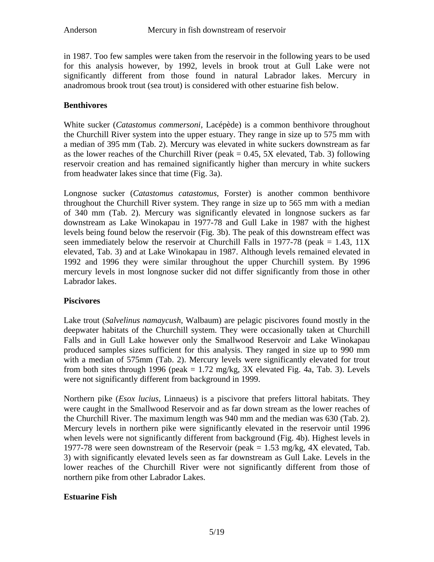in 1987. Too few samples were taken from the reservoir in the following years to be used for this analysis however, by 1992, levels in brook trout at Gull Lake were not significantly different from those found in natural Labrador lakes. Mercury in anadromous brook trout (sea trout) is considered with other estuarine fish below.

## **Benthivores**

White sucker (*Catastomus commersoni*, Lacépède) is a common benthivore throughout the Churchill River system into the upper estuary. They range in size up to 575 mm with a median of 395 mm (Tab. 2). Mercury was elevated in white suckers downstream as far as the lower reaches of the Churchill River (peak  $= 0.45$ , 5X elevated, Tab. 3) following reservoir creation and has remained significantly higher than mercury in white suckers from headwater lakes since that time (Fig. 3a).

Longnose sucker (*Catastomus catastomus*, Forster) is another common benthivore throughout the Churchill River system. They range in size up to 565 mm with a median of 340 mm (Tab. 2). Mercury was significantly elevated in longnose suckers as far downstream as Lake Winokapau in 1977-78 and Gull Lake in 1987 with the highest levels being found below the reservoir (Fig. 3b). The peak of this downstream effect was seen immediately below the reservoir at Churchill Falls in 1977-78 (peak  $= 1.43, 11X$ elevated, Tab. 3) and at Lake Winokapau in 1987. Although levels remained elevated in 1992 and 1996 they were similar throughout the upper Churchill system. By 1996 mercury levels in most longnose sucker did not differ significantly from those in other Labrador lakes.

## **Piscivores**

Lake trout (*Salvelinus namaycush*, Walbaum) are pelagic piscivores found mostly in the deepwater habitats of the Churchill system. They were occasionally taken at Churchill Falls and in Gull Lake however only the Smallwood Reservoir and Lake Winokapau produced samples sizes sufficient for this analysis. They ranged in size up to 990 mm with a median of 575mm (Tab. 2). Mercury levels were significantly elevated for trout from both sites through 1996 (peak  $= 1.72$  mg/kg, 3X elevated Fig. 4a, Tab. 3). Levels were not significantly different from background in 1999.

Northern pike (*Esox lucius*, Linnaeus) is a piscivore that prefers littoral habitats. They were caught in the Smallwood Reservoir and as far down stream as the lower reaches of the Churchill River. The maximum length was 940 mm and the median was 630 (Tab. 2). Mercury levels in northern pike were significantly elevated in the reservoir until 1996 when levels were not significantly different from background (Fig. 4b). Highest levels in 1977-78 were seen downstream of the Reservoir (peak = 1.53 mg/kg, 4X elevated, Tab. 3) with significantly elevated levels seen as far downstream as Gull Lake. Levels in the lower reaches of the Churchill River were not significantly different from those of northern pike from other Labrador Lakes.

## **Estuarine Fish**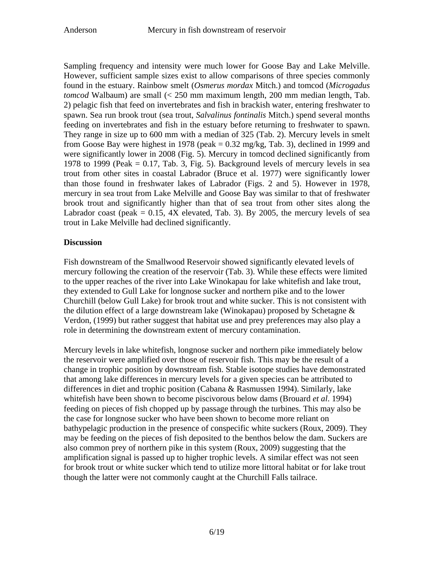Sampling frequency and intensity were much lower for Goose Bay and Lake Melville. However, sufficient sample sizes exist to allow comparisons of three species commonly found in the estuary. Rainbow smelt (*Osmerus mordax* Mitch.) and tomcod (*Microgadus tomcod* Walbaum) are small (< 250 mm maximum length, 200 mm median length, Tab. 2) pelagic fish that feed on invertebrates and fish in brackish water, entering freshwater to spawn. Sea run brook trout (sea trout, *Salvalinus fontinalis* Mitch.) spend several months feeding on invertebrates and fish in the estuary before returning to freshwater to spawn. They range in size up to 600 mm with a median of 325 (Tab. 2). Mercury levels in smelt from Goose Bay were highest in 1978 (peak  $= 0.32$  mg/kg, Tab. 3), declined in 1999 and were significantly lower in 2008 (Fig. 5). Mercury in tomcod declined significantly from 1978 to 1999 (Peak  $= 0.17$ , Tab. 3, Fig. 5). Background levels of mercury levels in sea trout from other sites in coastal Labrador (Bruce et al. 1977) were significantly lower than those found in freshwater lakes of Labrador (Figs. 2 and 5). However in 1978, mercury in sea trout from Lake Melville and Goose Bay was similar to that of freshwater brook trout and significantly higher than that of sea trout from other sites along the Labrador coast (peak  $= 0.15$ , 4X elevated, Tab. 3). By 2005, the mercury levels of sea trout in Lake Melville had declined significantly.

## **Discussion**

Fish downstream of the Smallwood Reservoir showed significantly elevated levels of mercury following the creation of the reservoir (Tab. 3). While these effects were limited to the upper reaches of the river into Lake Winokapau for lake whitefish and lake trout, they extended to Gull Lake for longnose sucker and northern pike and to the lower Churchill (below Gull Lake) for brook trout and white sucker. This is not consistent with the dilution effect of a large downstream lake (Winokapau) proposed by Schetagne  $\&$ Verdon, (1999) but rather suggest that habitat use and prey preferences may also play a role in determining the downstream extent of mercury contamination.

Mercury levels in lake whitefish, longnose sucker and northern pike immediately below the reservoir were amplified over those of reservoir fish. This may be the result of a change in trophic position by downstream fish. Stable isotope studies have demonstrated that among lake differences in mercury levels for a given species can be attributed to differences in diet and trophic position (Cabana & Rasmussen 1994). Similarly, lake whitefish have been shown to become piscivorous below dams (Brouard *et al*. 1994) feeding on pieces of fish chopped up by passage through the turbines. This may also be the case for longnose sucker who have been shown to become more reliant on bathypelagic production in the presence of conspecific white suckers (Roux, 2009). They may be feeding on the pieces of fish deposited to the benthos below the dam. Suckers are also common prey of northern pike in this system (Roux, 2009) suggesting that the amplification signal is passed up to higher trophic levels. A similar effect was not seen for brook trout or white sucker which tend to utilize more littoral habitat or for lake trout though the latter were not commonly caught at the Churchill Falls tailrace.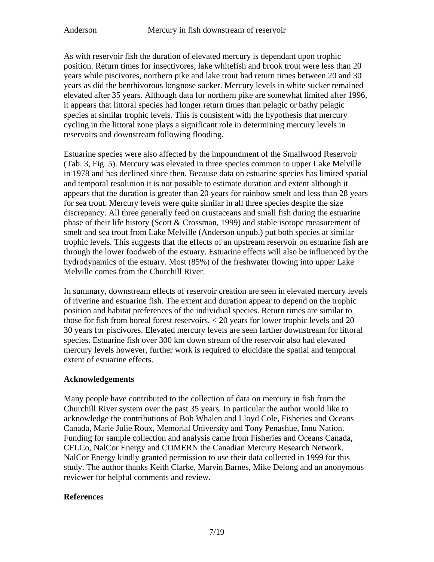As with reservoir fish the duration of elevated mercury is dependant upon trophic position. Return times for insectivores, lake whitefish and brook trout were less than 20 years while piscivores, northern pike and lake trout had return times between 20 and 30 years as did the benthivorous longnose sucker. Mercury levels in white sucker remained elevated after 35 years. Although data for northern pike are somewhat limited after 1996, it appears that littoral species had longer return times than pelagic or bathy pelagic species at similar trophic levels. This is consistent with the hypothesis that mercury cycling in the littoral zone plays a significant role in determining mercury levels in reservoirs and downstream following flooding.

Estuarine species were also affected by the impoundment of the Smallwood Reservoir (Tab. 3, Fig. 5). Mercury was elevated in three species common to upper Lake Melville in 1978 and has declined since then. Because data on estuarine species has limited spatial and temporal resolution it is not possible to estimate duration and extent although it appears that the duration is greater than 20 years for rainbow smelt and less than 28 years for sea trout. Mercury levels were quite similar in all three species despite the size discrepancy. All three generally feed on crustaceans and small fish during the estuarine phase of their life history (Scott & Crossman, 1999) and stable isotope measurement of smelt and sea trout from Lake Melville (Anderson unpub.) put both species at similar trophic levels. This suggests that the effects of an upstream reservoir on estuarine fish are through the lower foodweb of the estuary. Estuarine effects will also be influenced by the hydrodynamics of the estuary. Most (85%) of the freshwater flowing into upper Lake Melville comes from the Churchill River.

In summary, downstream effects of reservoir creation are seen in elevated mercury levels of riverine and estuarine fish. The extent and duration appear to depend on the trophic position and habitat preferences of the individual species. Return times are similar to those for fish from boreal forest reservoirs, < 20 years for lower trophic levels and 20 – 30 years for piscivores. Elevated mercury levels are seen farther downstream for littoral species. Estuarine fish over 300 km down stream of the reservoir also had elevated mercury levels however, further work is required to elucidate the spatial and temporal extent of estuarine effects.

## **Acknowledgements**

Many people have contributed to the collection of data on mercury in fish from the Churchill River system over the past 35 years. In particular the author would like to acknowledge the contributions of Bob Whalen and Lloyd Cole, Fisheries and Oceans Canada, Marie Julie Roux, Memorial University and Tony Penashue, Innu Nation. Funding for sample collection and analysis came from Fisheries and Oceans Canada, CFLCo, NalCor Energy and COMERN the Canadian Mercury Research Network. NalCor Energy kindly granted permission to use their data collected in 1999 for this study. The author thanks Keith Clarke, Marvin Barnes, Mike Delong and an anonymous reviewer for helpful comments and review.

## **References**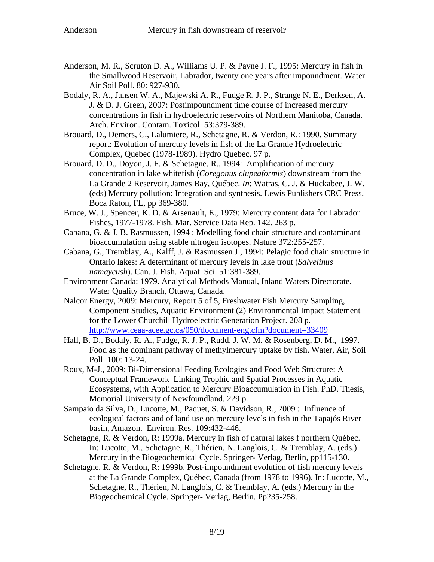- Anderson, M. R., Scruton D. A., Williams U. P. & Payne J. F., 1995: Mercury in fish in the Smallwood Reservoir, Labrador, twenty one years after impoundment. Water Air Soil Poll. 80: 927-930.
- Bodaly, R. A., Jansen W. A., Majewski A. R., Fudge R. J. P., Strange N. E., Derksen, A. J. & D. J. Green, 2007: Postimpoundment time course of increased mercury concentrations in fish in hydroelectric reservoirs of Northern Manitoba, Canada. Arch. Environ. Contam. Toxicol. 53:379-389.
- Brouard, D., Demers, C., Lalumiere, R., Schetagne, R. & Verdon, R.: 1990. Summary report: Evolution of mercury levels in fish of the La Grande Hydroelectric Complex, Quebec (1978-1989). Hydro Quebec. 97 p.
- Brouard, D. D., Doyon, J. F. & Schetagne, R., 1994: Amplification of mercury concentration in lake whitefish (*Coregonus clupeaformis*) downstream from the La Grande 2 Reservoir, James Bay, Québec. *In*: Watras, C. J. & Huckabee, J. W. (eds) Mercury pollution: Integration and synthesis. Lewis Publishers CRC Press, Boca Raton, FL, pp 369-380.
- Bruce, W. J., Spencer, K. D. & Arsenault, E., 1979: Mercury content data for Labrador Fishes, 1977-1978. Fish. Mar. Service Data Rep. 142. 263 p.
- Cabana, G. & J. B. Rasmussen, 1994 : Modelling food chain structure and contaminant bioaccumulation using stable nitrogen isotopes. Nature 372:255-257.
- Cabana, G., Tremblay, A., Kalff, J. & Rasmussen J., 1994: Pelagic food chain structure in Ontario lakes: A determinant of mercury levels in lake trout (*Salvelinus namaycush*). Can. J. Fish. Aquat. Sci. 51:381-389.
- Environment Canada: 1979. Analytical Methods Manual, Inland Waters Directorate. Water Quality Branch, Ottawa, Canada.
- Nalcor Energy, 2009: Mercury, Report 5 of 5, Freshwater Fish Mercury Sampling, Component Studies, Aquatic Environment (2) Environmental Impact Statement for the Lower Churchill Hydroelectric Generation Project. 208 p. <http://www.ceaa-acee.gc.ca/050/document-eng.cfm?document=33409>
- Hall, B. D., Bodaly, R. A., Fudge, R. J. P., Rudd, J. W. M. & Rosenberg, D. M., 1997. Food as the dominant pathway of methylmercury uptake by fish. Water, Air, Soil Poll. 100: 13-24.
- Roux, M-J., 2009: Bi-Dimensional Feeding Ecologies and Food Web Structure: A Conceptual Framework Linking Trophic and Spatial Processes in Aquatic Ecosystems, with Application to Mercury Bioaccumulation in Fish. PhD. Thesis, Memorial University of Newfoundland. 229 p.
- Sampaio da Silva, D., Lucotte, M., Paquet, S. & Davidson, R., 2009 : Influence of ecological factors and of land use on mercury levels in fish in the Tapajós River basin, Amazon. Environ. Res. 109:432-446.
- Schetagne, R. & Verdon, R: 1999a. Mercury in fish of natural lakes f northern Québec. In: Lucotte, M., Schetagne, R., Thérien, N. Langlois, C. & Tremblay, A. (eds.) Mercury in the Biogeochemical Cycle. Springer- Verlag, Berlin, pp115-130.
- Schetagne, R. & Verdon, R: 1999b. Post-impoundment evolution of fish mercury levels at the La Grande Complex, Québec, Canada (from 1978 to 1996). In: Lucotte, M., Schetagne, R., Thérien, N. Langlois, C. & Tremblay, A. (eds.) Mercury in the Biogeochemical Cycle. Springer- Verlag, Berlin. Pp235-258.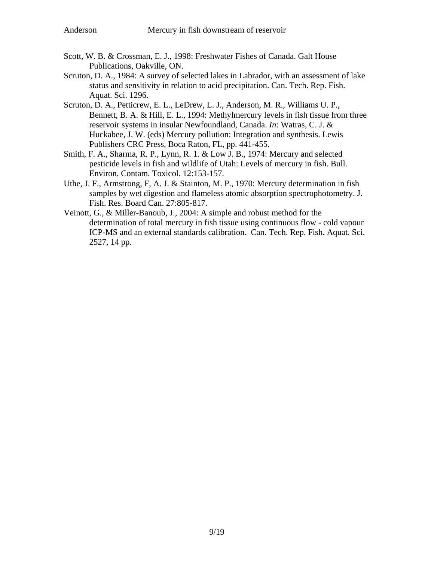- Scott, W. B. & Crossman, E. J., 1998: Freshwater Fishes of Canada. Galt House Publications, Oakville, ON.
- Scruton, D. A., 1984: A survey of selected lakes in Labrador, with an assessment of lake status and sensitivity in relation to acid precipitation. Can. Tech. Rep. Fish. Aquat. Sci. 1296.
- Scruton, D. A., Petticrew, E. L., LeDrew, L. J., Anderson, M. R., Williams U. P., Bennett, B. A. & Hill, E. L., 1994: Methylmercury levels in fish tissue from three reservoir systems in insular Newfoundland, Canada. *In*: Watras, C. J. & Huckabee, J. W. (eds) Mercury pollution: Integration and synthesis. Lewis Publishers CRC Press, Boca Raton, FL, pp. 441-455.
- Smith, F. A., Sharma, R. P., Lynn, R. 1. & Low J. B., 1974: Mercury and selected pesticide levels in fish and wildlife of Utah: Levels of mercury in fish. Bull. Environ. Contam. Toxicol. 12:153-157.
- Uthe, J. F., Armstrong, F, A. J. & Stainton, M. P., 1970: Mercury determination in fish samples by wet digestion and flameless atomic absorption spectrophotometry. J. Fish. Res. Board Can. 27:805-817.
- Veinott, G., & Miller-Banoub, J., 2004: A simple and robust method for the determination of total mercury in fish tissue using continuous flow - cold vapour ICP-MS and an external standards calibration. Can. Tech. Rep. Fish. Aquat. Sci. 2527, 14 pp.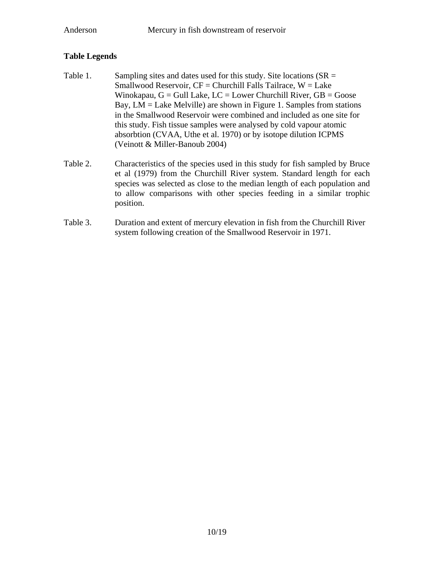## **Table Legends**

- Table 1. Sampling sites and dates used for this study. Site locations  $(SR =$ Smallwood Reservoir,  $CF = Churchill$  Falls Tailrace,  $W = Lake$ Winokapau,  $G =$  Gull Lake,  $LC =$  Lower Churchill River,  $GB =$  Goose Bay, LM = Lake Melville) are shown in Figure 1. Samples from stations in the Smallwood Reservoir were combined and included as one site for this study. Fish tissue samples were analysed by cold vapour atomic absorbtion (CVAA, Uthe et al. 1970) or by isotope dilution ICPMS (Veinott & Miller-Banoub 2004)
- Table 2. Characteristics of the species used in this study for fish sampled by Bruce et al (1979) from the Churchill River system. Standard length for each species was selected as close to the median length of each population and to allow comparisons with other species feeding in a similar trophic position.
- Table 3. Duration and extent of mercury elevation in fish from the Churchill River system following creation of the Smallwood Reservoir in 1971.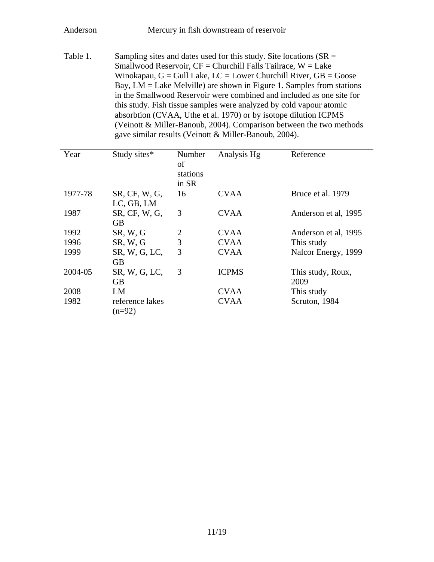Table 1. Sampling sites and dates used for this study. Site locations  $(SR =$ Smallwood Reservoir,  $CF = Church$ ill Falls Tailrace,  $W = Lake$ Winokapau,  $G =$  Gull Lake,  $LC =$  Lower Churchill River,  $GB =$  Goose Bay, LM = Lake Melville) are shown in Figure 1. Samples from stations in the Smallwood Reservoir were combined and included as one site for this study. Fish tissue samples were analyzed by cold vapour atomic absorbtion (CVAA, Uthe et al. 1970) or by isotope dilution ICPMS (Veinott & Miller-Banoub, 2004). Comparison between the two methods gave similar results (Veinott & Miller-Banoub, 2004).

| Year    | Study sites*                            | Number<br>οf<br>stations<br>in SR | Analysis Hg  | Reference                 |
|---------|-----------------------------------------|-----------------------------------|--------------|---------------------------|
| 1977-78 | $SR$ , $CF$ , $W$ , $G$ ,<br>LC, GB, LM | 16                                | <b>CVAA</b>  | Bruce et al. 1979         |
| 1987    | $SR$ , $CF$ , $W$ , $G$ ,<br>GB.        | 3                                 | <b>CVAA</b>  | Anderson et al, 1995      |
| 1992    | SR, W, G                                | $\overline{2}$                    | <b>CVAA</b>  | Anderson et al, 1995      |
| 1996    | SR, W, G                                | 3                                 | <b>CVAA</b>  | This study                |
| 1999    | SR, W, G, LC,<br><b>GB</b>              | 3                                 | <b>CVAA</b>  | Nalcor Energy, 1999       |
| 2004-05 | SR, W, G, LC,<br>GВ                     | 3                                 | <b>ICPMS</b> | This study, Roux,<br>2009 |
| 2008    | LM                                      |                                   | <b>CVAA</b>  | This study                |
| 1982    | reference lakes<br>$(n=92)$             |                                   | <b>CVAA</b>  | Scruton, 1984             |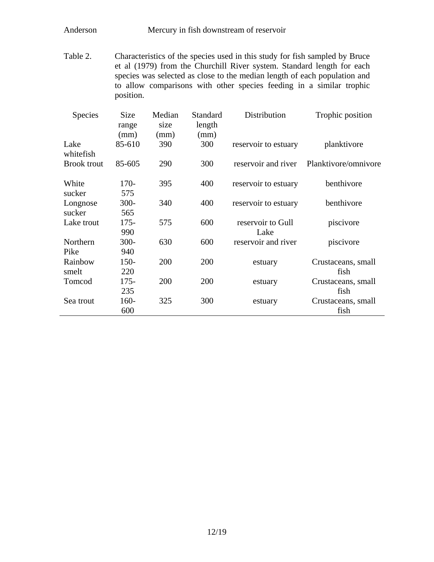Table 2. Characteristics of the species used in this study for fish sampled by Bruce et al (1979) from the Churchill River system. Standard length for each species was selected as close to the median length of each population and to allow comparisons with other species feeding in a similar trophic position.

| <b>Species</b>     | Size<br>range<br>(mm) | Median<br>size<br>(mm) | Standard<br>length<br>(mm) | Distribution              | Trophic position           |
|--------------------|-----------------------|------------------------|----------------------------|---------------------------|----------------------------|
| Lake<br>whitefish  | 85-610                | 390                    | 300                        | reservoir to estuary      | planktivore                |
| <b>Brook</b> trout | 85-605                | 290                    | 300                        | reservoir and river       | Planktivore/omnivore       |
| White<br>sucker    | $170-$<br>575         | 395                    | 400                        | reservoir to estuary      | benthivore                 |
| Longnose<br>sucker | $300 -$<br>565        | 340                    | 400                        | reservoir to estuary      | benthivore                 |
| Lake trout         | $175 -$<br>990        | 575                    | 600                        | reservoir to Gull<br>Lake | piscivore                  |
| Northern<br>Pike   | $300 -$<br>940        | 630                    | 600                        | reservoir and river       | piscivore                  |
| Rainbow<br>smelt   | $150-$<br>220         | 200                    | 200                        | estuary                   | Crustaceans, small<br>fish |
| Tomcod             | $175 -$<br>235        | 200                    | 200                        | estuary                   | Crustaceans, small<br>fish |
| Sea trout          | 160-<br>600           | 325                    | 300                        | estuary                   | Crustaceans, small<br>fish |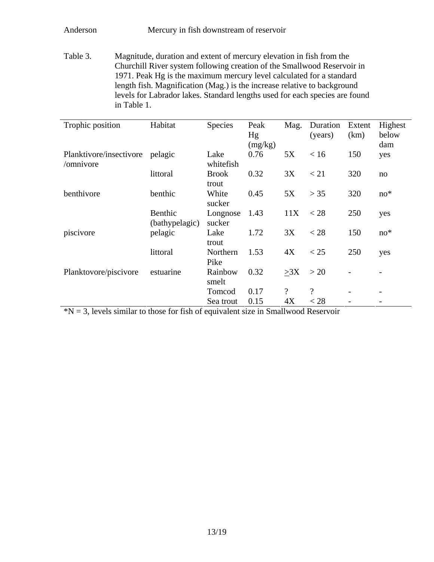Table 3. Magnitude, duration and extent of mercury elevation in fish from the Churchill River system following creation of the Smallwood Reservoir in 1971. Peak Hg is the maximum mercury level calculated for a standard length fish. Magnification (Mag.) is the increase relative to background levels for Labrador lakes. Standard lengths used for each species are found in Table 1.

| Trophic position        | Habitat                   | Species               | Peak    | Mag.                     | Duration                 | Extent | Highest |
|-------------------------|---------------------------|-----------------------|---------|--------------------------|--------------------------|--------|---------|
|                         |                           |                       | Hg      |                          | (years)                  | (km)   | below   |
|                         |                           |                       | (mg/kg) |                          |                          |        | dam     |
| Planktivore/insectivore | pelagic                   | Lake                  | 0.76    | 5X                       | < 16                     | 150    | yes     |
| /omnivore               |                           | whitefish             |         |                          |                          |        |         |
|                         | littoral                  | <b>Brook</b><br>trout | 0.32    | 3X                       | < 21                     | 320    | no      |
| benthivore              | benthic                   | White<br>sucker       | 0.45    | 5X                       | > 35                     | 320    | $no*$   |
|                         | Benthic<br>(bathypelagic) | Longnose<br>sucker    | 1.43    | 11X                      | $<$ 28                   | 250    | yes     |
| piscivore               | pelagic                   | Lake                  | 1.72    | 3X                       | < 28                     | 150    | $no*$   |
|                         |                           | trout                 |         |                          |                          |        |         |
|                         | littoral                  | Northern              | 1.53    | 4X                       | < 25                     | 250    | yes     |
|                         |                           | Pike                  |         |                          |                          |        |         |
| Planktovore/piscivore   | estuarine                 | Rainbow<br>smelt      | 0.32    | >3X                      | >20                      |        |         |
|                         |                           | Tomcod                | 0.17    | $\overline{\mathcal{L}}$ | $\overline{\mathcal{L}}$ |        |         |
|                         |                           | Sea trout             | 0.15    | 4X                       | $<$ 28                   |        |         |

 $N = 3$ , levels similar to those for fish of equivalent size in Smallwood Reservoir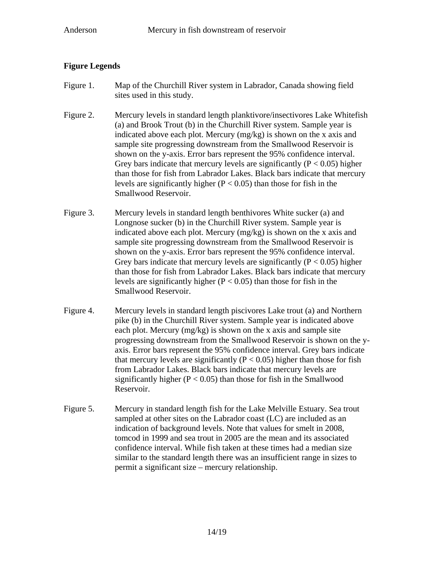## **Figure Legends**

- Figure 1. Map of the Churchill River system in Labrador, Canada showing field sites used in this study.
- Figure 2. Mercury levels in standard length planktivore/insectivores Lake Whitefish (a) and Brook Trout (b) in the Churchill River system. Sample year is indicated above each plot. Mercury (mg/kg) is shown on the x axis and sample site progressing downstream from the Smallwood Reservoir is shown on the y-axis. Error bars represent the 95% confidence interval. Grey bars indicate that mercury levels are significantly ( $P < 0.05$ ) higher than those for fish from Labrador Lakes. Black bars indicate that mercury levels are significantly higher ( $P < 0.05$ ) than those for fish in the Smallwood Reservoir.
- Figure 3. Mercury levels in standard length benthivores White sucker (a) and Longnose sucker (b) in the Churchill River system. Sample year is indicated above each plot. Mercury (mg/kg) is shown on the x axis and sample site progressing downstream from the Smallwood Reservoir is shown on the y-axis. Error bars represent the 95% confidence interval. Grey bars indicate that mercury levels are significantly  $(P < 0.05)$  higher than those for fish from Labrador Lakes. Black bars indicate that mercury levels are significantly higher ( $P < 0.05$ ) than those for fish in the Smallwood Reservoir.
- Figure 4. Mercury levels in standard length piscivores Lake trout (a) and Northern pike (b) in the Churchill River system. Sample year is indicated above each plot. Mercury (mg/kg) is shown on the x axis and sample site progressing downstream from the Smallwood Reservoir is shown on the yaxis. Error bars represent the 95% confidence interval. Grey bars indicate that mercury levels are significantly ( $P < 0.05$ ) higher than those for fish from Labrador Lakes. Black bars indicate that mercury levels are significantly higher  $(P < 0.05)$  than those for fish in the Smallwood Reservoir.
- Figure 5. Mercury in standard length fish for the Lake Melville Estuary. Sea trout sampled at other sites on the Labrador coast (LC) are included as an indication of background levels. Note that values for smelt in 2008, tomcod in 1999 and sea trout in 2005 are the mean and its associated confidence interval. While fish taken at these times had a median size similar to the standard length there was an insufficient range in sizes to permit a significant size – mercury relationship.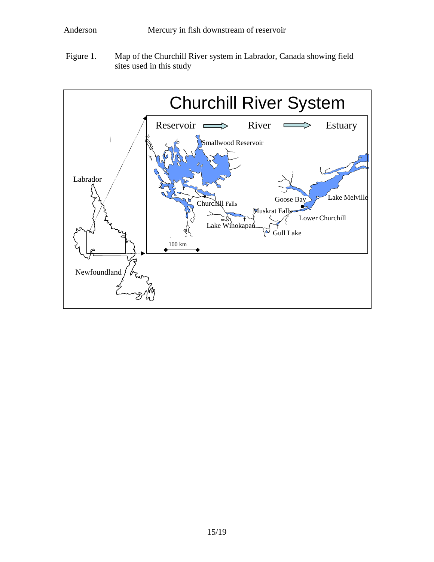Figure 1. Map of the Churchill River system in Labrador, Canada showing field sites used in this study

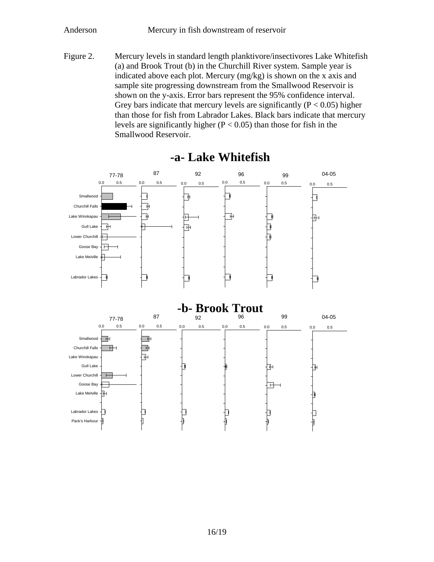Figure 2. Mercury levels in standard length planktivore/insectivores Lake Whitefish (a) and Brook Trout (b) in the Churchill River system. Sample year is indicated above each plot. Mercury (mg/kg) is shown on the x axis and sample site progressing downstream from the Smallwood Reservoir is shown on the y-axis. Error bars represent the 95% confidence interval. Grey bars indicate that mercury levels are significantly  $(P < 0.05)$  higher than those for fish from Labrador Lakes. Black bars indicate that mercury levels are significantly higher  $(P < 0.05)$  than those for fish in the Smallwood Reservoir.



# **-a- Lake Whitefish**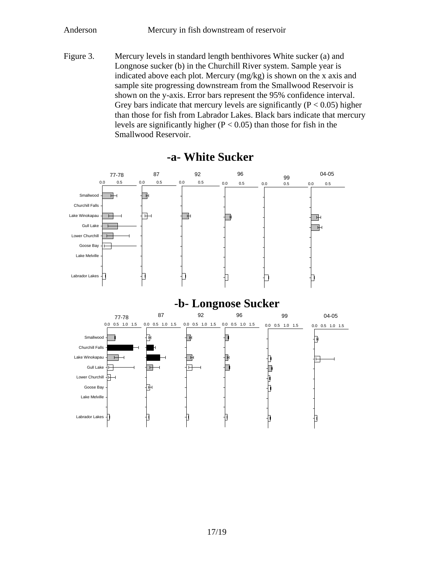Figure 3. Mercury levels in standard length benthivores White sucker (a) and Longnose sucker (b) in the Churchill River system. Sample year is indicated above each plot. Mercury (mg/kg) is shown on the x axis and sample site progressing downstream from the Smallwood Reservoir is shown on the y-axis. Error bars represent the 95% confidence interval. Grey bars indicate that mercury levels are significantly  $(P < 0.05)$  higher than those for fish from Labrador Lakes. Black bars indicate that mercury levels are significantly higher  $(P < 0.05)$  than those for fish in the Smallwood Reservoir.



**-a- White Sucker**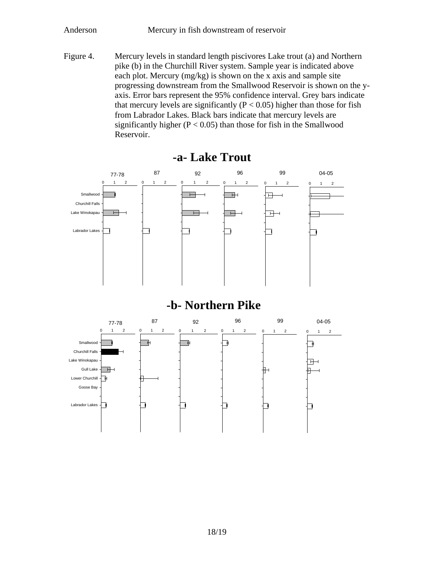Figure 4. Mercury levels in standard length piscivores Lake trout (a) and Northern pike (b) in the Churchill River system. Sample year is indicated above each plot. Mercury (mg/kg) is shown on the x axis and sample site progressing downstream from the Smallwood Reservoir is shown on the yaxis. Error bars represent the 95% confidence interval. Grey bars indicate that mercury levels are significantly ( $P < 0.05$ ) higher than those for fish from Labrador Lakes. Black bars indicate that mercury levels are significantly higher  $(P < 0.05)$  than those for fish in the Smallwood Reservoir.



**-a- Lake Trout**